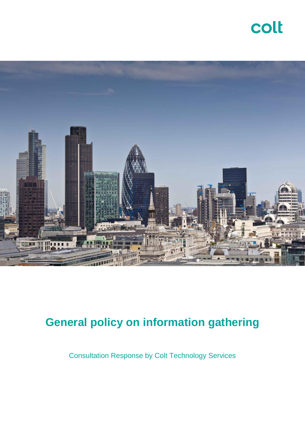

## **General policy on information gathering**

Consultation Response by Colt Technology Services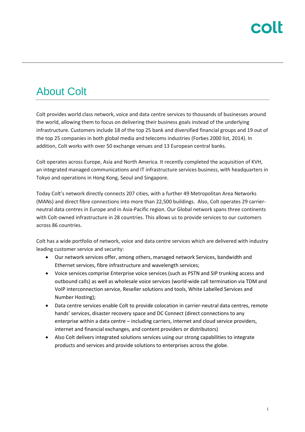### About Colt

Colt provides world class network, voice and data centre services to thousands of businesses around the world, allowing them to focus on delivering their business goals instead of the underlying infrastructure. Customers include 18 of the top 25 bank and diversified financial groups and 19 out of the top 25 companies in both global media and telecoms industries (Forbes 2000 list, 2014). In addition, Colt works with over 50 exchange venues and 13 European central banks.

Colt operates across Europe, Asia and North America. It recently completed the acquisition of KVH, an integrated managed communications and IT infrastructure services business, with headquarters in Tokyo and operations in Hong Kong, Seoul and Singapore.

Today Colt's network directly connects 207 cities, with a further 49 Metropolitan Area Networks (MANs) and direct fibre connections into more than 22,500 buildings. Also, Colt operates 29 carrierneutral data centres in Europe and in Asia-Pacific region. Our Global network spans three continents with Colt-owned infrastructure in 28 countries. This allows us to provide services to our customers across 86 countries.

Colt has a wide portfolio of network, voice and data centre services which are delivered with industry leading customer service and security:

- Our network services offer, among others, managed network Services, bandwidth and Ethernet services, fibre infrastructure and wavelength services;
- Voice services comprise Enterprise voice services (such as PSTN and SIP trunking access and outbound calls) as well as wholesale voice services (world-wide call termination via TDM and VoIP interconnection service, Reseller solutions and tools, White Labelled Services and Number Hosting);
- Data centre services enable Colt to provide colocation in carrier-neutral data centres, remote hands' services, disaster recovery space and DC Connect (direct connections to any enterprise within a data centre – including carriers, internet and cloud service providers, internet and financial exchanges, and content providers or distributors)
- Also Colt delivers integrated solutions services using our strong capabilities to integrate products and services and provide solutions to enterprises across the globe.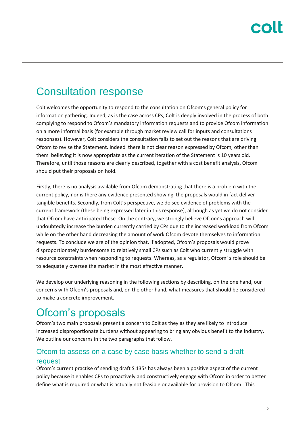## Consultation response

Colt welcomes the opportunity to respond to the consultation on Ofcom's general policy for information gathering. Indeed, as is the case across CPs, Colt is deeply involved in the process of both complying to respond to Ofcom's mandatory information requests and to provide Ofcom information on a more informal basis (for example through market review call for inputs and consultations responses). However, Colt considers the consultation fails to set out the reasons that are driving Ofcom to revise the Statement. Indeed there is not clear reason expressed by Ofcom, other than them believing it is now appropriate as the current iteration of the Statement is 10 years old. Therefore, until those reasons are clearly described, together with a cost benefit analysis, Ofcom should put their proposals on hold.

Firstly, there is no analysis available from Ofcom demonstrating that there is a problem with the current policy, nor is there any evidence presented showing the proposals would in fact deliver tangible benefits. Secondly, from Colt's perspective, we do see evidence of problems with the current framework (these being expressed later in this response), although as yet we do not consider that Ofcom have anticipated these. On the contrary, we strongly believe Ofcom's approach will undoubtedly increase the burden currently carried by CPs due to the increased workload from Ofcom while on the other hand decreasing the amount of work Ofcom devote themselves to information requests. To conclude we are of the opinion that, if adopted, Ofcom's proposals would prove disproportionately burdensome to relatively small CPs such as Colt who currently struggle with resource constraints when responding to requests. Whereas, as a regulator, Ofcom' s role should be to adequately oversee the market in the most effective manner.

We develop our underlying reasoning in the following sections by describing, on the one hand, our concerns with Ofcom's proposals and, on the other hand, what measures that should be considered to make a concrete improvement.

## Ofcom's proposals

Ofcom's two main proposals present a concern to Colt as they as they are likely to introduce increased disproportionate burdens without appearing to bring any obvious benefit to the industry. We outline our concerns in the two paragraphs that follow.

#### Ofcom to assess on a case by case basis whether to send a draft request

Ofcom's current practise of sending draft S.135s has always been a positive aspect of the current policy because it enables CPs to proactively and constructively engage with Ofcom in order to better define what is required or what is actually not feasible or available for provision to Ofcom. This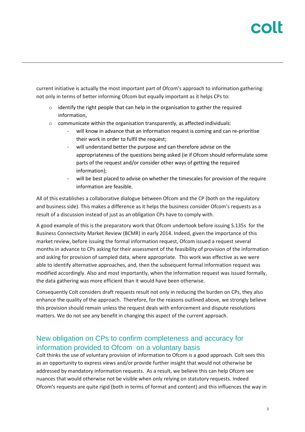# COI

current initiative is actually the most important part of Ofcom's approach to information gathering: not only in terms of better informing Ofcom but equally important as it helps CPs to:

- $\circ$  identify the right people that can help in the organisation to gather the required information,
- o communicate within the organisation transparently, as affected individuals:
	- will know in advance that an information request is coming and can re-prioritise their work in order to fulfil the request;
	- will understand better the purpose and can therefore advise on the appropriateness of the questions being asked (ie if Ofcom should reformulate some parts of the request and/or consider other ways of getting the required information);
	- will be best placed to advise on whether the timescales for provision of the require information are feasible.

All of this establishes a collaborative dialogue between Ofcom and the CP (both on the regulatory and business side). This makes a difference as it helps the business consider Ofcom's requests as a result of a discussion instead of just as an obligation CPs have to comply with.

A good example of this is the preparatory work that Ofcom undertook before issuing S.135s for the Business Connectivity Market Review (BCMR) in early 2014. Indeed, given the importance of this market review, before issuing the formal information request, Ofcom issued a request several months in advance to CPs asking for their assessment of the feasibility of provision of the information and asking for provision of sampled data, where appropriate. This work was effective as we were able to identify alternative approaches, and, then the subsequent formal information request was modified accordingly. Also and most importantly, when the information request was issued formally, the data gathering was more efficient than it would have been otherwise.

Consequently Colt considers draft requests result not only in reducing the burden on CPs, they also enhance the quality of the approach. Therefore, for the reasons outlined above, we strongly believe this provision should remain unless the request deals with enforcement and dispute resolutions matters. We do not see any benefit in changing this aspect of the current approach.

#### New obligation on CPs to confirm completeness and accuracy for information provided to Ofcom on a voluntary basis

Colt thinks the use of voluntary provision of information to Ofcom is a good approach. Colt sees this as an opportunity to express views and/or provide further insight that would not otherwise be addressed by mandatory information requests. As a result, we believe this can help Ofcom see nuances that would otherwise not be visible when only relying on statutory requests. Indeed Ofcom's requests are quite rigid (both in terms of format and content) and this influences the way in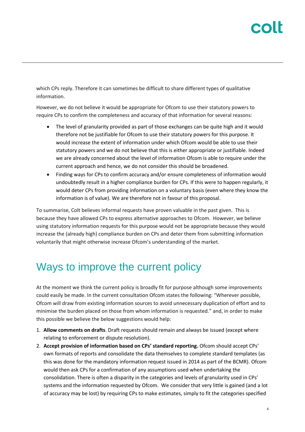which CPs reply. Therefore it can sometimes be difficult to share different types of qualitative information.

However, we do not believe it would be appropriate for Ofcom to use their statutory powers to require CPs to confirm the completeness and accuracy of that information for several reasons:

- The level of granularity provided as part of those exchanges can be quite high and it would therefore not be justifiable for Ofcom to use their statutory powers for this purpose. It would increase the extent of information under which Ofcom would be able to use their statutory powers and we do not believe that this is either appropriate or justifiable. Indeed we are already concerned about the level of information Ofcom is able to require under the current approach and hence, we do not consider this should be broadened.
- Finding ways for CPs to confirm accuracy and/or ensure completeness of information would undoubtedly result in a higher compliance burden for CPs. If this were to happen regularly, it would deter CPs from providing information on a voluntary basis (even where they know the information is of value). We are therefore not in favour of this proposal.

To summarise, Colt believes informal requests have proven valuable in the past given. This is because they have allowed CPs to express alternative approaches to Ofcom. However, we believe using statutory information requests for this purpose would not be appropriate because they would increase the (already high) compliance burden on CPs and deter them from submitting information voluntarily that might otherwise increase Ofcom's understanding of the market.

#### Ways to improve the current policy

At the moment we think the current policy is broadly fit for purpose although some improvements could easily be made. In the current consultation Ofcom states the following: "Wherever possible, Ofcom will draw from existing information sources to avoid unnecessary duplication of effort and to minimise the burden placed on those from whom information is requested." and, in order to make this possible we believe the below suggestions would help:

- 1. **Allow comments on drafts**. Draft requests should remain and always be issued (except where relating to enforcement or dispute resolution).
- 2. **Accept provision of information based on CPs' standard reporting.** Ofcom should accept CPs' own formats of reports and consolidate the data themselves to complete standard templates (as this was done for the mandatory information request issued in 2014 as part of the BCMR). Ofcom would then ask CPs for a confirmation of any assumptions used when undertaking the consolidation. There is often a disparity in the categories and levels of granularity used in CPs' systems and the information requested by Ofcom. We consider that very little is gained (and a lot of accuracy may be lost) by requiring CPs to make estimates, simply to fit the categories specified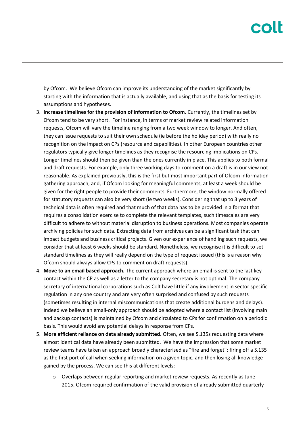by Ofcom. We believe Ofcom can improve its understanding of the market significantly by starting with the information that is actually available, and using that as the basis for testing its assumptions and hypotheses.

- 3. **Increase timelines for the provision of information to Ofcom.** Currently, the timelines set by Ofcom tend to be very short. For instance, in terms of market review related information requests, Ofcom will vary the timeline ranging from a two week window to longer. And often, they can issue requests to suit their own schedule (ie before the holiday period) with really no recognition on the impact on CPs (resource and capabilities). In other European countries other regulators typically give longer timelines as they recognise the resourcing implications on CPs. Longer timelines should then be given than the ones currently in place. This applies to both formal and draft requests. For example, only three working days to comment on a draft is in our view not reasonable. As explained previously, this is the first but most important part of Ofcom information gathering approach, and, if Ofcom looking for meaningful comments, at least a week should be given for the right people to provide their comments. Furthermore, the window normally offered for statutory requests can also be very short (ie two weeks). Considering that up to 3 years of technical data is often required and that much of that data has to be provided in a format that requires a consolidation exercise to complete the relevant templates, such timescales are very difficult to adhere to without material disruption to business operations. Most companies operate archiving policies for such data. Extracting data from archives can be a significant task that can impact budgets and business critical projects. Given our experience of handling such requests, we consider that at least 6 weeks should be standard. Nonetheless, we recognise it is difficult to set standard timelines as they will really depend on the type of request issued (this is a reason why Ofcom should always allow CPs to comment on draft requests).
- 4. **Move to an email based approach.** The current approach where an email is sent to the last key contact within the CP as well as a letter to the company secretary is not optimal. The company secretary of international corporations such as Colt have little if any involvement in sector specific regulation in any one country and are very often surprised and confused by such requests (sometimes resulting in internal miscommunications that create additional burdens and delays). Indeed we believe an email-only approach should be adopted where a contact list (involving main and backup contacts) is maintained by Ofcom and circulated to CPs for confirmation on a periodic basis. This would avoid any potential delays in response from CPs.
- 5. **More efficient reliance on data already submitted.** Often, we see S.135s requesting data where almost identical data have already been submitted. We have the impression that some market review teams have taken an approach broadly characterised as "fire and forget": firing off a S.135 as the first port of call when seeking information on a given topic, and then losing all knowledge gained by the process. We can see this at different levels:
	- o Overlaps between regular reporting and market review requests. As recently as June 2015, Ofcom required confirmation of the valid provision of already submitted quarterly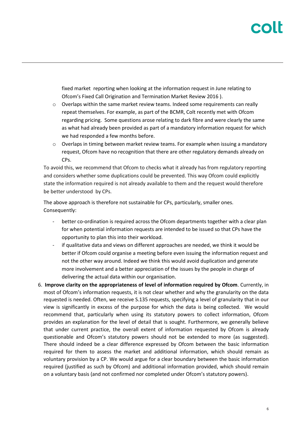fixed market reporting when looking at the information request in June relating to Ofcom's Fixed Call Origination and Termination Market Review 2016 ).

- $\circ$  Overlaps within the same market review teams. Indeed some requirements can really repeat themselves. For example, as part of the BCMR, Colt recently met with Ofcom regarding pricing. Some questions arose relating to dark fibre and were clearly the same as what had already been provided as part of a mandatory information request for which we had responded a few months before.
- $\circ$  Overlaps in timing between market review teams. For example when issuing a mandatory request, Ofcom have no recognition that there are other regulatory demands already on CPs.

To avoid this, we recommend that Ofcom to checks what it already has from regulatory reporting and considers whether some duplications could be prevented. This way Ofcom could explicitly state the information required is not already available to them and the request would therefore be better understood by CPs.

The above approach is therefore not sustainable for CPs, particularly, smaller ones. Consequently:

- better co-ordination is required across the Ofcom departments together with a clear plan for when potential information requests are intended to be issued so that CPs have the opportunity to plan this into their workload.
- if qualitative data and views on different approaches are needed, we think it would be better if Ofcom could organise a meeting before even issuing the information request and not the other way around. Indeed we think this would avoid duplication and generate more involvement and a better appreciation of the issues by the people in charge of delivering the actual data within our organisation.
- 6. **Improve clarity on the appropriateness of level of information required by Ofcom**. Currently, in most of Ofcom's information requests, it is not clear whether and why the granularity on the data requested is needed. Often, we receive S.135 requests, specifying a level of granularity that in our view is significantly in excess of the purpose for which the data is being collected. We would recommend that, particularly when using its statutory powers to collect information, Ofcom provides an explanation for the level of detail that is sought. Furthermore, we generally believe that under current practice, the overall extent of information requested by Ofcom is already questionable and Ofcom's statutory powers should not be extended to more (as suggested). There should indeed be a clear difference expressed by Ofcom between the basic information required for them to assess the market and additional information, which should remain as voluntary provision by a CP. We would argue for a clear boundary between the basic information required (justified as such by Ofcom) and additional information provided, which should remain on a voluntary basis (and not confirmed nor completed under Ofcom's statutory powers).